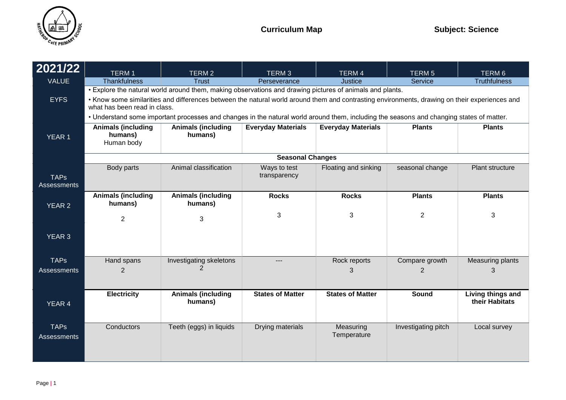

| 2021/22                           | TERM <sub>1</sub>                                                                                                                                                             | TERM 2                               | TERM <sub>3</sub>            | TERM 4                    | <b>TERM5</b>        | TERM 6                              |  |
|-----------------------------------|-------------------------------------------------------------------------------------------------------------------------------------------------------------------------------|--------------------------------------|------------------------------|---------------------------|---------------------|-------------------------------------|--|
| <b>VALUE</b>                      | <b>Thankfulness</b>                                                                                                                                                           | <b>Trust</b>                         | Perseverance                 | <b>Justice</b>            | Service             | <b>Truthfulness</b>                 |  |
|                                   | . Explore the natural world around them, making observations and drawing pictures of animals and plants.                                                                      |                                      |                              |                           |                     |                                     |  |
| <b>EYFS</b>                       | • Know some similarities and differences between the natural world around them and contrasting environments, drawing on their experiences and<br>what has been read in class. |                                      |                              |                           |                     |                                     |  |
|                                   | . Understand some important processes and changes in the natural world around them, including the seasons and changing states of matter.                                      |                                      |                              |                           |                     |                                     |  |
| <b>YEAR 1</b>                     | <b>Animals (including</b><br>humans)<br>Human body                                                                                                                            | <b>Animals (including</b><br>humans) | <b>Everyday Materials</b>    | <b>Everyday Materials</b> | <b>Plants</b>       | <b>Plants</b>                       |  |
|                                   | <b>Seasonal Changes</b>                                                                                                                                                       |                                      |                              |                           |                     |                                     |  |
| <b>TAPs</b><br><b>Assessments</b> | Body parts                                                                                                                                                                    | Animal classification                | Ways to test<br>transparency | Floating and sinking      | seasonal change     | Plant structure                     |  |
| <b>YEAR 2</b>                     | <b>Animals (including</b><br>humans)                                                                                                                                          | <b>Animals (including</b><br>humans) | <b>Rocks</b>                 | <b>Rocks</b>              | <b>Plants</b>       | <b>Plants</b>                       |  |
|                                   | $\overline{2}$                                                                                                                                                                | 3                                    | 3                            | 3                         | 2                   | 3                                   |  |
| <b>YEAR 3</b>                     |                                                                                                                                                                               |                                      |                              |                           |                     |                                     |  |
| <b>TAPs</b>                       | Hand spans                                                                                                                                                                    | Investigating skeletons              | $---$                        | Rock reports              | Compare growth      | Measuring plants                    |  |
| <b>Assessments</b>                | $\overline{2}$                                                                                                                                                                |                                      |                              | 3                         | 2                   | 3                                   |  |
| <b>YEAR 4</b>                     | <b>Electricity</b>                                                                                                                                                            | <b>Animals (including</b><br>humans) | <b>States of Matter</b>      | <b>States of Matter</b>   | <b>Sound</b>        | Living things and<br>their Habitats |  |
| <b>TAPs</b><br><b>Assessments</b> | Conductors                                                                                                                                                                    | Teeth (eggs) in liquids              | Drying materials             | Measuring<br>Temperature  | Investigating pitch | Local survey                        |  |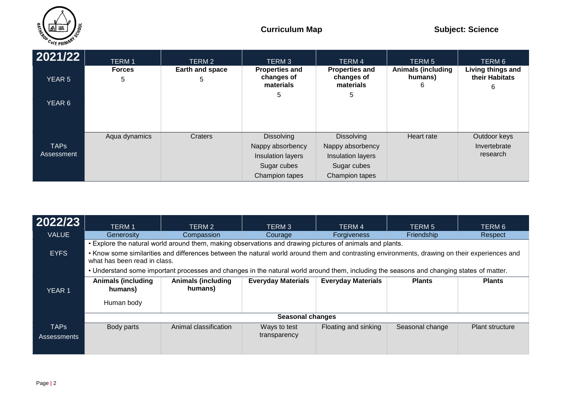

| 2021/22                   | <b>TERM1</b><br><b>Forces</b> | TERM 2<br>Earth and space | TERM <sub>3</sub><br><b>Properties and</b>                                                  | <b>TERM 4</b><br><b>Properties and</b>                                                      | <b>TERM 5</b><br><b>Animals (including</b> | TERM 6<br>Living things and              |
|---------------------------|-------------------------------|---------------------------|---------------------------------------------------------------------------------------------|---------------------------------------------------------------------------------------------|--------------------------------------------|------------------------------------------|
| <b>YEAR 5</b>             | 5                             | 5                         | changes of<br>materials                                                                     | changes of<br>materials                                                                     | humans)<br>6                               | their Habitats<br>6                      |
| YEAR 6                    |                               |                           | 5                                                                                           | 5                                                                                           |                                            |                                          |
| <b>TAPS</b><br>Assessment | Aqua dynamics                 | Craters                   | <b>Dissolving</b><br>Nappy absorbency<br>Insulation layers<br>Sugar cubes<br>Champion tapes | <b>Dissolving</b><br>Nappy absorbency<br>Insulation layers<br>Sugar cubes<br>Champion tapes | Heart rate                                 | Outdoor keys<br>Invertebrate<br>research |

| 2022/23           | <b>TERM1</b>                                                                                                                                                                  | TERM 2                               | TERM <sub>3</sub>         | TERM 4                    | TERM 5          | TERM 6                 |  |
|-------------------|-------------------------------------------------------------------------------------------------------------------------------------------------------------------------------|--------------------------------------|---------------------------|---------------------------|-----------------|------------------------|--|
| <b>VALUE</b>      | Generosity                                                                                                                                                                    | Compassion                           | Courage                   | <b>Forgiveness</b>        | Friendship      | Respect                |  |
|                   | • Explore the natural world around them, making observations and drawing pictures of animals and plants.                                                                      |                                      |                           |                           |                 |                        |  |
| <b>EYFS</b>       | • Know some similarities and differences between the natural world around them and contrasting environments, drawing on their experiences and<br>what has been read in class. |                                      |                           |                           |                 |                        |  |
|                   | . Understand some important processes and changes in the natural world around them, including the seasons and changing states of matter.                                      |                                      |                           |                           |                 |                        |  |
| YEAR <sub>1</sub> | <b>Animals (including</b><br>humans)                                                                                                                                          | <b>Animals (including</b><br>humans) | <b>Everyday Materials</b> | <b>Everyday Materials</b> | <b>Plants</b>   | <b>Plants</b>          |  |
|                   | Human body                                                                                                                                                                    |                                      |                           |                           |                 |                        |  |
|                   | <b>Seasonal changes</b>                                                                                                                                                       |                                      |                           |                           |                 |                        |  |
| <b>TAPs</b>       | Body parts                                                                                                                                                                    | Animal classification                | Ways to test              | Floating and sinking      | Seasonal change | <b>Plant structure</b> |  |
| Assessments       |                                                                                                                                                                               |                                      | transparency              |                           |                 |                        |  |
|                   |                                                                                                                                                                               |                                      |                           |                           |                 |                        |  |